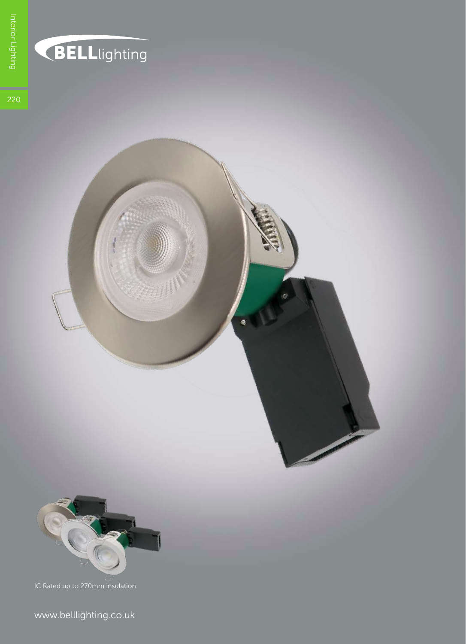

### **BELL**lighting



www.belllighting.co.uk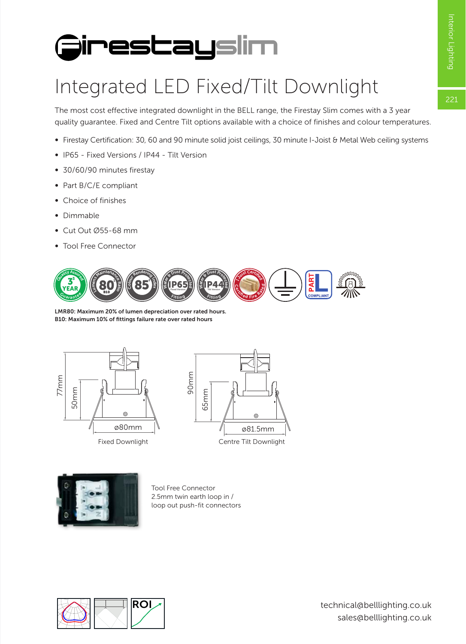$221$ 

## **FirestaySlim**

#### Integrated LED Fixed/Tilt Downlight

The most cost effective integrated downlight in the BELL range, the Firestay Slim comes with a 3 year quality guarantee. Fixed and Centre Tilt options available with a choice of finishes and colour temperatures.

- ∞ Firestay Certification: 30, 60 and 90 minute solid joist ceilings, 30 minute I-Joist & Metal Web ceiling systems
- ∞ IP65 Fixed Versions / IP44 Tilt Version
- ∞ 30/60/90 minutes firestay
- ∞ Part B/C/E compliant
- ∞ Choice of finishes
- ∞ Dimmable
- ∞ Cut Out Ø55-68 mm
- ∞ Tool Free Connector



B10: Maximum 10% of fittings failure rate over rated hours







Tool Free Connector<br>2 Emm turin earth loc 1001 Free Connector<br>2.5mm twin earth loop in /<br>loop out push-fit connecto loop out push-fit connectors

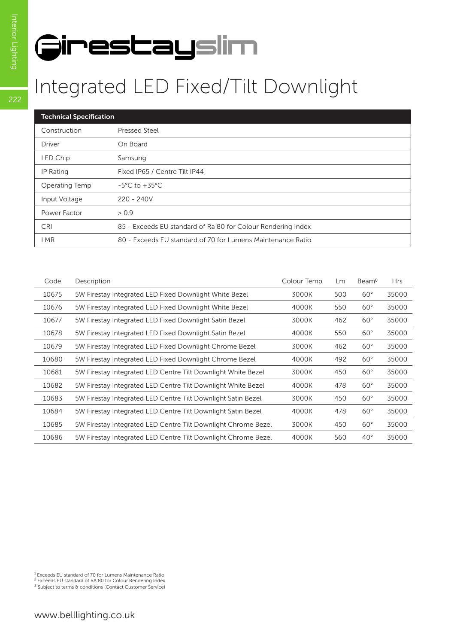# **FirestaySlim**

#### Integrated LED Fixed/Tilt Downlight

| <b>Technical Specification</b> |                                                              |  |  |  |
|--------------------------------|--------------------------------------------------------------|--|--|--|
| Construction                   | Pressed Steel                                                |  |  |  |
| Driver                         | On Board                                                     |  |  |  |
| LED Chip                       | Samsung                                                      |  |  |  |
| IP Rating                      | Fixed IP65 / Centre Tilt IP44                                |  |  |  |
| Operating Temp                 | $-5^{\circ}$ C to $+35^{\circ}$ C                            |  |  |  |
| Input Voltage                  | $220 - 240V$                                                 |  |  |  |
| Power Factor                   | > 0.9                                                        |  |  |  |
| <b>CRI</b>                     | 85 - Exceeds EU standard of Ra 80 for Colour Rendering Index |  |  |  |
| <b>LMR</b>                     | 80 - Exceeds EU standard of 70 for Lumens Maintenance Ratio  |  |  |  |

| Code  | Description                                                   | Colour Temp | Lm  | Beam <sup>o</sup> | <b>Hrs</b> |
|-------|---------------------------------------------------------------|-------------|-----|-------------------|------------|
| 10675 | 5W Firestay Integrated LED Fixed Downlight White Bezel        | 3000K       | 500 | $60^\circ$        | 35000      |
| 10676 | 5W Firestay Integrated LED Fixed Downlight White Bezel        | 4000K       | 550 | $60^\circ$        | 35000      |
| 10677 | 5W Firestay Integrated LED Fixed Downlight Satin Bezel        | 3000K       | 462 | $60^\circ$        | 35000      |
| 10678 | 5W Firestay Integrated LED Fixed Downlight Satin Bezel        | 4000K       | 550 | $60^\circ$        | 35000      |
| 10679 | 5W Firestay Integrated LED Fixed Downlight Chrome Bezel       | 3000K       | 462 | $60^\circ$        | 35000      |
| 10680 | 5W Firestay Integrated LED Fixed Downlight Chrome Bezel       | 4000K       | 492 | $60^\circ$        | 35000      |
| 10681 | 5W Firestay Integrated LED Centre Tilt Downlight White Bezel  | 3000K       | 450 | $60^\circ$        | 35000      |
| 10682 | 5W Firestay Integrated LED Centre Tilt Downlight White Bezel  | 4000K       | 478 | $60^\circ$        | 35000      |
| 10683 | 5W Firestay Integrated LED Centre Tilt Downlight Satin Bezel  | 3000K       | 450 | $60^\circ$        | 35000      |
| 10684 | 5W Firestay Integrated LED Centre Tilt Downlight Satin Bezel  | 4000K       | 478 | $60^\circ$        | 35000      |
| 10685 | 5W Firestay Integrated LED Centre Tilt Downlight Chrome Bezel | 3000K       | 450 | $60^\circ$        | 35000      |
| 10686 | 5W Firestay Integrated LED Centre Tilt Downlight Chrome Bezel | 4000K       | 560 | $40^{\circ}$      | 35000      |

1 Exceeds EU standard of 70 for Lumens Maintenance Ratio

2 Exceeds EU standard of RA 80 for Colour Rendering Index <sup>3</sup> Subject to terms & conditions (Contact Customer Service)

222